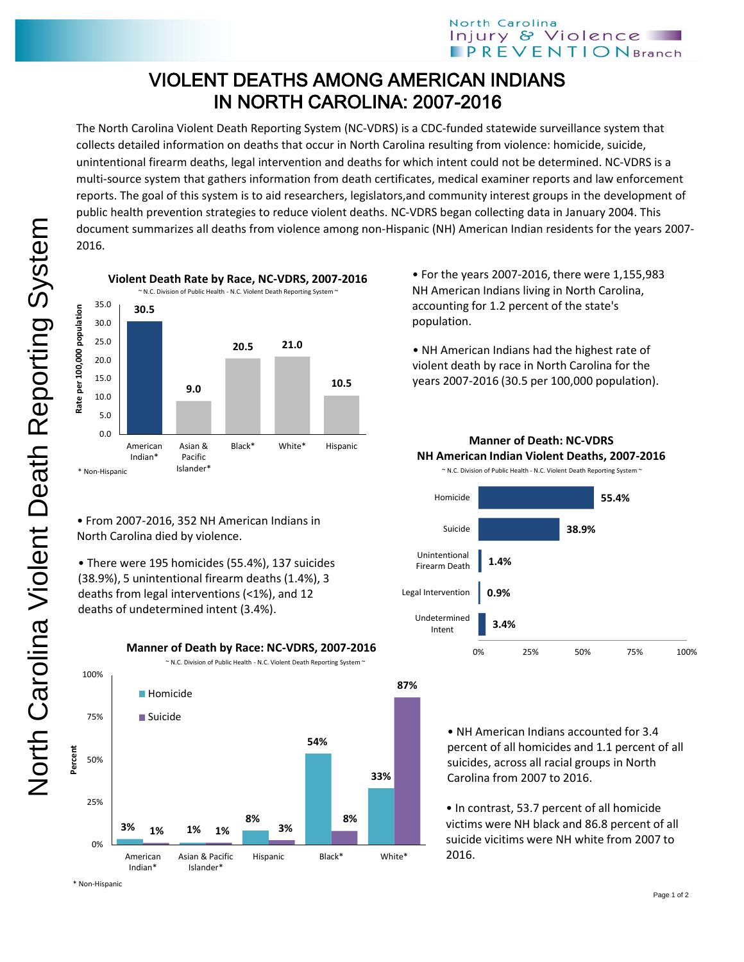## VIOLENT DEATHS AMONG AMERICAN INDIANS IN NORTH CAROLINA: 2007-2016

The North Carolina Violent Death Reporting System (NC-VDRS) is a CDC-funded statewide surveillance system that collects detailed information on deaths that occur in North Carolina resulting from violence: homicide, suicide, unintentional firearm deaths, legal intervention and deaths for which intent could not be determined. NC-VDRS is a multi-source system that gathers information from death certificates, medical examiner reports and law enforcement reports. The goal of this system is to aid researchers, legislators,and community interest groups in the development of public health prevention strategies to reduce violent deaths. NC-VDRS began collecting data in January 2004. This document summarizes all deaths from violence among non-Hispanic (NH) American Indian residents for the years 2007- 2016.



• From 2007-2016, 352 NH American Indians in North Carolina died by violence.

• There were 195 homicides (55.4%), 137 suicides (38.9%), 5 unintentional firearm deaths (1.4%), 3 deaths from legal interventions (<1%), and 12 deaths of undetermined intent (3.4%).



**Manner of Death by Race: NC-VDRS, 2007-2016**

population.

• For the years 2007-2016, there were 1,155,983 NH American Indians living in North Carolina, accounting for 1.2 percent of the state's



**Manner of Death: NC-VDRS NH American Indian Violent Deaths, 2007-2016**

> • NH American Indians accounted for 3.4 percent of all homicides and 1.1 percent of all suicides, across all racial groups in North Carolina from 2007 to 2016.

• In contrast, 53.7 percent of all homicide victims were NH black and 86.8 percent of all suicide vicitims were NH white from 2007 to 2016.

\* Non-Hispanic

<sup>•</sup> NH American Indians had the highest rate of violent death by race in North Carolina for the years 2007-2016 (30.5 per 100,000 population).

North Carolina Violent Death Reporting System North Carolina Violent Death Reporting System